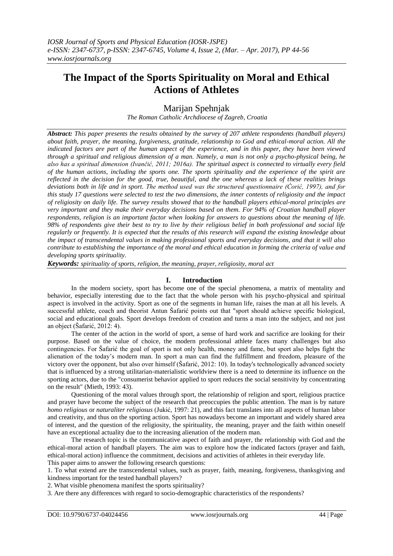# **The Impact of the Sports Spirituality on Moral and Ethical Actions of Athletes**

## Marijan Spehnjak

*The Roman Catholic Archdiocese of Zagreb, Croatia*

*Abstract: This paper presents the results obtained by the survey of 207 athlete respondents (handball players) about faith, prayer, the meaning, forgiveness, gratitude, relationship to God and ethical-moral action. All the indicated factors are part of the human aspect of the experience, and in this paper, they have been viewed through a spiritual and religious dimension of a man. Namely, a man is not only a psycho-physical being, he also has a spiritual dimension (Ivančić, 2011; 2016a). The spiritual aspect is connected to virtually every field of the human actions, including the sports one. The sports spirituality and the experience of the spirit are reflected in the decision for the good, true, beautiful, and the one whereas a lack of these realities brings deviations both in life and in sport. The method used was the structured questionnaire (Ćorić, 1997), and for this study 17 questions were selected to test the two dimensions, the inner contents of religiosity and the impact of religiosity on daily life. The survey results showed that to the handball players ethical-moral principles are very important and they make their everyday decisions based on them. For 94% of Croatian handball player respondents, religion is an important factor when looking for answers to questions about the meaning of life. 98% of respondents give their best to try to live by their religious belief in both professional and social life regularly or frequently. It is expected that the results of this research will expand the existing knowledge about the impact of transcendental values in making professional sports and everyday decisions, and that it will also contribute to establishing the importance of the moral and ethical education in forming the criteria of value and developing sports spirituality.*

*Keywords: spirituality of sports, religion, the meaning, prayer, religiosity, moral act*

### **I. Introduction**

In the modern society, sport has become one of the special phenomena, a matrix of mentality and behavior, especially interesting due to the fact that the whole person with his psycho-physical and spiritual aspect is involved in the activity. Sport as one of the segments in human life, raises the man at all his levels. A successful athlete, coach and theorist Antun Šafarić points out that "sport should achieve specific biological, social and educational goals. Sport develops freedom of creation and turns a man into the subject, and not just an object (Šafarić, 2012: 4).

The center of the action in the world of sport, a sense of hard work and sacrifice are looking for their purpose. Based on the value of choice, the modern professional athlete faces many challenges but also contingencies. For Šafarić the goal of sport is not only health, money and fame, but sport also helps fight the alienation of the today's modern man. In sport a man can find the fulfillment and freedom, pleasure of the victory over the opponent, but also over himself (Šafarić, 2012: 10). In today's technologically advanced society that is influenced by a strong utilitarian-materialistic worldview there is a need to determine its influence on the sporting actors, due to the "consumerist behavior applied to sport reduces the social sensitivity by concentrating on the result" (Mieth, 1993: 43).

Questioning of the moral values through sport, the relationship of religion and sport, religious practice and prayer have become the subject of the research that preoccupies the public attention. The man is by nature *homo religious* or *naturaliter religiosus* (Jukić, 1997: 21), and this fact translates into all aspects of human labor and creativity, and thus on the sporting action. Sport has nowadays become an important and widely shared area of interest, and the question of the religiosity, the spirituality, the meaning, prayer and the faith within oneself have an exceptional actuality due to the increasing alienation of the modern man.

The research topic is the communicative aspect of faith and prayer, the relationship with God and the ethical-moral action of handball players. The aim was to explore how the indicated factors (prayer and faith, ethical-moral action) influence the commitment, decisions and activities of athletes in their everyday life. This paper aims to answer the following research questions:

1. To what extend are the transcendental values, such as prayer, faith, meaning, forgiveness, thanksgiving and kindness important for the tested handball players?

2. What visible phenomena manifest the sports spirituality?

3. Are there any differences with regard to socio-demographic characteristics of the respondents?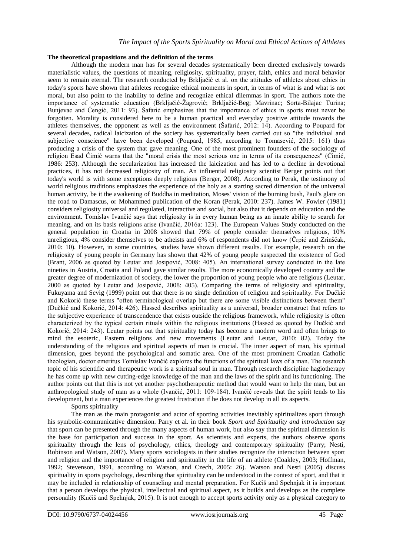### **The theoretical propositions and the definition of the terms**

Although the modern man has for several decades systematically been directed exclusively towards materialistic values, the questions of meaning, religiosity, spirituality, prayer, faith, ethics and moral behavior seem to remain eternal. The research conducted by Brkljaĉić et al. on the attitudes of athletes about ethics in today's sports have shown that athletes recognize ethical moments in sport, in terms of what is and what is not moral, but also point to the inability to define and recognize ethical dilemmas in sport. The authors note the importance of systematic education (Brkljačić-Žagrović; Brkljačić-Beg; Mavrinac; Sorta-Bilajac Turina; Bunjevac and Ĉengić, 2011: 93). Šafarić emphasizes that the importance of ethics in sports must never be forgotten. Morality is considered here to be a human practical and everyday positive attitude towards the athletes themselves, the opponent as well as the environment (Šafarić, 2012: 14). According to Poupard for several decades, radical laicization of the society has systematically been carried out so "the individual and subjective conscience" have been developed (Poupard, 1985, according to Tomasević, 2015: 161) thus producing a crisis of the system that gave meaning. One of the most prominent founders of the sociology of religion Esad Ćimić warns that the "moral crisis the most serious one in terms of its consequences" (Ćimić, 1986: 253). Although the secularization has increased the laicization and has led to a decline in devotional practices, it has not decreased religiosity of man. An influential religiosity scientist Berger points out that today's world is with some exceptions deeply religious (Berger, 2008). According to Perak, the testimony of world religious traditions emphasizes the experience of the holy as a starting sacred dimension of the universal human activity, be it the awakening of Buddha in meditation, Moses' vision of the burning bush, Paul's glare on the road to Damascus, or Mohammed publication of the Koran (Perak, 2010: 237). James W. Fowler (1981) considers religiosity universal and regulated, interactive and social, but also that it depends on education and the environment. Tomislav Ivanĉić says that religiosity is in every human being as an innate ability to search for meaning, and on its basis religions arise (Ivanĉić, 2016a: 123). The European Values Study conducted on the general population in Croatia in 2008 showed that 79% of people consider themselves religious, 10% unreligious, 4% consider themselves to be atheists and 6% of respondents did not know (Ĉrpić and Zrinšĉak, 2010: 10). However, in some countries, studies have shown different results. For example, research on the religiosity of young people in Germany has shown that 42% of young people suspected the existence of God (Brant, 2006 as quoted by Leutar and Josipović, 2008: 405). An international survey conducted in the late nineties in Austria, Croatia and Poland gave similar results. The more economically developed country and the greater degree of modernization of society, the lower the proportion of young people who are religious (Leutar, 2000 as quoted by Leutar and Josipović, 2008: 405). Comparing the terms of religiosity and spirituality, Fukuyama and Sevig (1999) point out that there is no single definition of religion and spirituality. For Duĉkić and Kokorić these terms "often terminological overlap but there are some visible distinctions between them" (Duĉkić and Kokorić, 2014: 426). Hassed describes spirituality as a universal, broader construct that refers to the subjective experience of transcendence that exists outside the religious framework, while religiosity is often characterized by the typical certain rituals within the religious institutions (Hassed as quoted by Duĉkić and Kokorić, 2014: 243). Leutar points out that spirituality today has become a modern word and often brings to mind the esoteric, Eastern religions and new movements (Leutar and Leutar, 2010: 82). Today the understanding of the religious and spiritual aspects of man is crucial. The inner aspect of man, his spiritual dimension, goes beyond the psychological and somatic area. One of the most prominent Croatian Catholic theologian, doctor emeritus Tomislav Ivanĉić explores the functions of the spiritual laws of a man. The research topic of his scientific and therapeutic work is a spiritual soul in man. Through research discipline hagiotherapy he has come up with new cutting-edge knowledge of the man and the laws of the spirit and its functioning. The author points out that this is not yet another psychotherapeutic method that would want to help the man, but an anthropological study of man as a whole (Ivanĉić, 2011: 109-184). Ivanĉić reveals that the spirit tends to his development, but a man experiences the greatest frustration if he does not develop in all its aspects.

Sports spirituality

The man as the main protagonist and actor of sporting activities inevitably spiritualizes sport through his symbolic-communicative dimension. Parry et al. in their book *Sport and Spirituality and introduction* say that sport can be presented through the many aspects of human work, but also say that the spiritual dimension is the base for participation and success in the sport. As scientists and experts, the authors observe sports spirituality through the lens of psychology, ethics, theology and contemporary spirituality (Parry; Nesti, Robinson and Watson, 2007). Many sports sociologists in their studies recognize the interaction between sport and religion and the importance of religion and spirituality in the life of an athlete (Coakley, 2003; Hoffman, 1992; Stevenson, 1991, according to Watson, and Czech, 2005: 26). Watson and Nesti (2005) discuss spirituality in sports psychology, describing that spirituality can be understood in the context of sport, and that it may be included in relationship of counseling and mental preparation. For Kuĉiš and Spehnjak it is important that a person develops the physical, intellectual and spiritual aspect, as it builds and develops as the complete personality (Kuĉiš and Spehnjak, 2015). It is not enough to accept sports activity only as a physical category to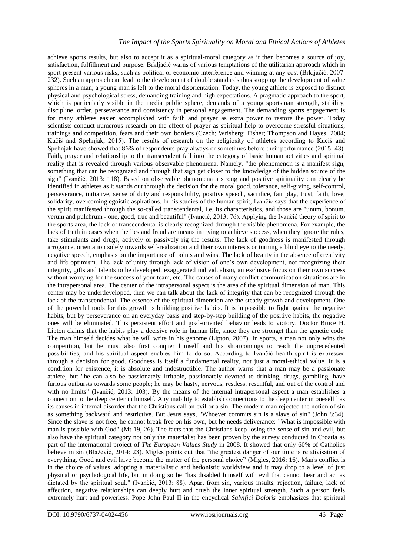achieve sports results, but also to accept it as a spiritual-moral category as it then becomes a source of joy, satisfaction, fulfillment and purpose. Brkljaĉić warns of various temptations of the utilitarian approach which in sport present various risks, such as political or economic interference and winning at any cost (Brkljaĉić, 2007: 232). Such an approach can lead to the development of double standards thus stopping the development of value spheres in a man; a young man is left to the moral disorientation. Today, the young athlete is exposed to distinct physical and psychological stress, demanding training and high expectations. A pragmatic approach to the sport, which is particularly visible in the media public sphere, demands of a young sportsman strength, stability, discipline, order, perseverance and consistency in personal engagement. The demanding sports engagement is for many athletes easier accomplished with faith and prayer as extra power to restore the power. Today scientists conduct numerous research on the effect of prayer as spiritual help to overcome stressful situations, trainings and competition, fears and their own borders (Czech; Wrisberg; Fisher; Thompson and Hayes, 2004; Kuĉiš and Spehnjak, 2015). The results of research on the religiosity of athletes according to Kuĉiš and Spehnjak have showed that 86% of respondents pray always or sometimes before their performance (2015: 43). Faith, prayer and relationship to the transcendent fall into the category of basic human activities and spiritual reality that is revealed through various observable phenomena. Namely, "the phenomenon is a manifest sign, something that can be recognized and through that sign get closer to the knowledge of the hidden source of the sign" (Ivanĉić, 2013: 118). Based on observable phenomena a strong and positive spirituality can clearly be identified in athletes as it stands out through the decision for the moral good, tolerance, self-giving, self-control, perseverance, initiative, sense of duty and responsibility, positive speech, sacrifice, fair play, trust, faith, love, solidarity, overcoming egoistic aspirations. In his studies of the human spirit, Ivanĉić says that the experience of the spirit manifested through the so-called transcendental, i.e. its characteristics, and those are "unum, bonum, verum and pulchrum - one, good, true and beautiful" (Ivanĉić, 2013: 76). Applying the Ivanĉić theory of spirit to the sports area, the lack of transcendental is clearly recognized through the visible phenomena. For example, the lack of truth in cases when the lies and fraud are means in trying to achieve success, when they ignore the rules, take stimulants and drugs, actively or passively rig the results. The lack of goodness is manifested through arrogance, orientation solely towards self-realization and their own interests or turning a blind eye to the needy, negative speech, emphasis on the importance of points and wins. The lack of beauty in the absence of creativity and life optimism. The lack of unity through lack of vision of one's own development, not recognizing their integrity, gifts and talents to be developed, exaggerated individualism, an exclusive focus on their own success without worrying for the success of your team, etc. The causes of many conflict communication situations are in the intrapersonal area. The center of the intrapersonal aspect is the area of the spiritual dimension of man. This center may be underdeveloped, then we can talk about the lack of integrity that can be recognized through the lack of the transcendental. The essence of the spiritual dimension are the steady growth and development. One of the powerful tools for this growth is building positive habits. It is impossible to fight against the negative habits, but by perseverance on an everyday basis and step-by-step building of the positive habits, the negative ones will be eliminated. This persistent effort and goal-oriented behavior leads to victory. Doctor Bruce H. Lipton claims that the habits play a decisive role in human life, since they are stronget than the genetic code. The man himself decides what he will write in his genome (Lipton, 2007). In sports, a man not only wins the competition, but he must also first conquer himself and his shortcomings to reach the unprecedented possibilities, and his spiritual aspect enables him to do so. According to Ivanĉić health spirit is expressed through a decision for good. Goodness is itself a fundamental reality, not just a moral-ethical value. It is a condition for existence, it is absolute and indestructible. The author warns that a man may be a passionate athlete, but "he can also be passionately irritable, passionately devoted to drinking, drugs, gambling, have furious outbursts towards some people; he may be hasty, nervous, restless, resentful, and out of the control and with no limits" (Ivančić, 2013: 103). By the means of the internal intrapersonal aspect a man establishes a connection to the deep center in himself. Any inability to establish connections to the deep center in oneself has its causes in internal disorder that the Christians call an evil or a sin. The modern man rejected the notion of sin as something backward and restrictive. But Jesus says, "Whoever commits sin is a slave of sin" (John 8:34). Since the slave is not free, he cannot break free on his own, but he needs deliverance: "What is impossible with man is possible with God" (Mt 19, 26). The facts that the Christians keep losing the sense of sin and evil, but also have the spiritual category not only the materialist has been proven by the survey conducted in Croatia as part of the international project of *The European Values Study* in 2008. It showed that only 60% of Catholics believe in sin (Blažević, 2014: 23). Migles points out that "the greatest danger of our time is relativisation of everything. Good and evil have become the matter of the personal choice" (Migles, 2016: 16). Man's conflict is in the choice of values, adopting a materialistic and hedonistic worldview and it may drop to a level of just physical or psychological life, but in doing so he "has disabled himself with evil that cannot hear and act as dictated by the spiritual soul." (Ivanĉić, 2013: 88). Apart from sin, various insults, rejection, failure, lack of affection, negative relationships can deeply hurt and crush the inner spiritual strength. Such a person feels extremely hurt and powerless. Pope John Paul II in the encyclical *Salvifici Doloris* emphasizes that spiritual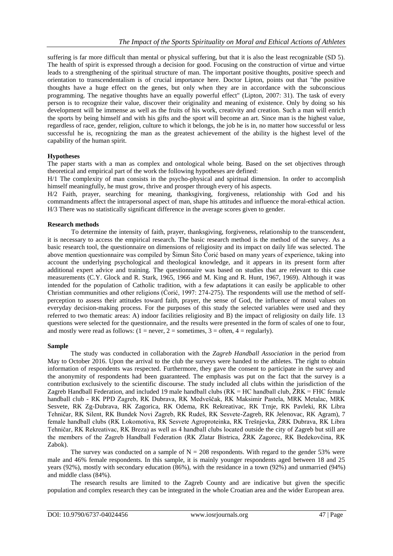suffering is far more difficult than mental or physical suffering, but that it is also the least recognizable (SD 5). The health of spirit is expressed through a decision for good. Focusing on the construction of virtue and virtue leads to a strengthening of the spiritual structure of man. The important positive thoughts, positive speech and orientation to transcendentalism is of crucial importance here. Doctor Lipton, points out that "the positive thoughts have a huge effect on the genes, but only when they are in accordance with the subconscious programming. The negative thoughts have an equally powerful effect" (Lipton, 2007: 31). The task of every person is to recognize their value, discover their originality and meaning of existence. Only by doing so his development will be immense as well as the fruits of his work, creativity and creation. Such a man will enrich the sports by being himself and with his gifts and the sport will become an art. Since man is the highest value, regardless of race, gender, religion, culture to which it belongs, the job he is in, no matter how successful or less successful he is, recognizing the man as the greatest achievement of the ability is the highest level of the capability of the human spirit.

### **Hypotheses**

The paper starts with a man as complex and ontological whole being. Based on the set objectives through theoretical and empirical part of the work the following hypotheses are defined:

H/1 The complexity of man consists in the psycho-physical and spiritual dimension. In order to accomplish himself meaningfully, he must grow, thrive and prosper through every of his aspects.

H/2 Faith, prayer, searching for meaning, thanksgiving, forgiveness, relationship with God and his commandments affect the intrapersonal aspect of man, shape his attitudes and influence the moral-ethical action. H/3 There was no statistically significant difference in the average scores given to gender.

### **Research methods**

To determine the intensity of faith, prayer, thanksgiving, forgiveness, relationship to the transcendent, it is necessary to access the empirical research. The basic research method is the method of the survey. As a basic research tool, the questionnaire on dimensions of religiosity and its impact on daily life was selected. The above mention questionnaire was compiled by Šimun Šito Ćorić based on many years of experience, taking into account the underlying psychological and theological knowledge, and it appears in its present form after additional expert advice and training. The questionnaire was based on studies that are relevant to this case measurements (C.Y. Glock and R. Stark, 1965, 1966 and M. King and R. Hunt, 1967, 1969). Although it was intended for the population of Catholic tradition, with a few adaptations it can easily be applicable to other Christian communities and other religions (Ćorić, 1997: 274-275). The respondents will use the method of selfperception to assess their attitudes toward faith, prayer, the sense of God, the influence of moral values on everyday decision-making process. For the purposes of this study the selected variables were used and they referred to two thematic areas: A) indoor facilities religiosity and B) the impact of religiosity on daily life. 13 questions were selected for the questionnaire, and the results were presented in the form of scales of one to four, and mostly were read as follows:  $(1 = never, 2 = sometimes, 3 = often, 4 = regularly)$ .

### **Sample**

The study was conducted in collaboration with the *Zagreb Handball Association* in the period from May to October 2016. Upon the arrival to the club the surveys were handed to the athletes. The right to obtain information of respondents was respected. Furthermore, they gave the consent to participate in the survey and the anonymity of respondents had been guaranteed. The emphasis was put on the fact that the survey is a contribution exclusively to the scientific discourse. The study included all clubs within the jurisdiction of the Zagreb Handball Federation, and included 19 male handball clubs ( $RK = HC$  handball club,  $\angle ZRK = FHC$  female handball club - RK PPD Zagreb, RK Dubrava, RK Medvešĉak, RK Maksimir Pastela, MRK Metalac, MRK Sesvete, RK Zg-Dubrava, RK Zagorica, RK Odema, RK Rekreativac, RK Trnje, RK Pavleki, RK Libra Tehniĉar, RK Silent, RK Bundek Novi Zagreb, RK Rudeš, RK Sesvete-Zagreb, RK Jelenovac, RK Agram), 7 female handball clubs (RK Lokomotiva, RK Sesvete Agroproteinka, RK Trešnjevka, ŽRK Dubrava, RK Libra Tehniĉar, RK Rekreativac, RK Breza) as well as 4 handball clubs located outside the city of Zagreb but still are the members of the Zagreb Handball Federation (RK Zlatar Bistrica, ŽRK Zagorec, RK Bedekovčina, RK Zabok).

The survey was conducted on a sample of  $N = 208$  respondents. With regard to the gender 53% were male and 46% female respondents. In this sample, it is mainly younger respondents aged between 18 and 25 years (92%), mostly with secondary education (86%), with the residance in a town (92%) and unmarried (94%) and middle class (84%).

The research results are limited to the Zagreb County and are indicative but given the specific population and complex research they can be integrated in the whole Croatian area and the wider European area.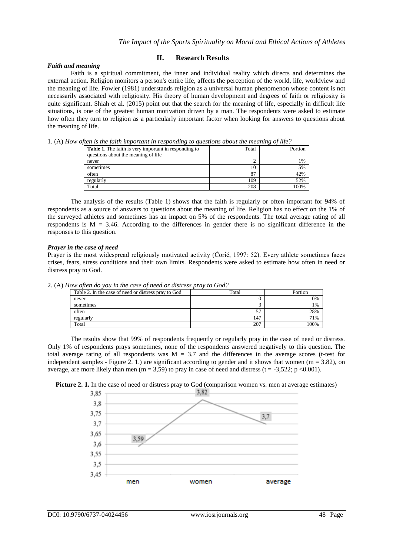### *Faith and meaning*

### **II. Research Results**

Faith is a spiritual commitment, the inner and individual reality which directs and determines the external action. Religion monitors a person's entire life, affects the perception of the world, life, worldview and the meaning of life. Fowler (1981) understands religion as a universal human phenomenon whose content is not necessarily associated with religiosity. His theory of human development and degrees of faith or religiosity is quite significant. Shiah et al. (2015) point out that the search for the meaning of life, especially in difficult life situations, is one of the greatest human motivation driven by a man. The respondents were asked to estimate how often they turn to religion as a particularly important factor when looking for answers to questions about the meaning of life.

1. (A) *How often is the faith important in responding to questions about the meaning of life?*

|                                                              |       | .       |
|--------------------------------------------------------------|-------|---------|
| <b>Table 1.</b> The faith is very important in responding to | Total | Portion |
| questions about the meaning of life                          |       |         |
| never                                                        |       | 1%      |
| sometimes                                                    | 10    | 5%      |
| often                                                        | 87    | 42%     |
| regularly                                                    | 109   | 52%     |
| Total                                                        | 208   | 100%    |

The analysis of the results (Table 1) shows that the faith is regularly or often important for 94% of respondents as a source of answers to questions about the meaning of life. Religion has no effect on the 1% of the surveyed athletes and sometimes has an impact on 5% of the respondents. The total average rating of all respondents is  $M = 3.46$ . According to the differences in gender there is no significant difference in the responses to this question.

### *Prayer in the case of need*

Prayer is the most widespread religiously motivated activity (Ćorić, 1997: 52). Every athlete sometimes faces crises, fears, stress conditions and their own limits. Respondents were asked to estimate how often in need or distress pray to God.

| Table 2. In the case of need or distress pray to God | Total | Portion |
|------------------------------------------------------|-------|---------|
| never                                                |       | 0%      |
| sometimes                                            |       | 1%      |
| often                                                |       | 28%     |
| regularly                                            | 147   | 71%     |
| Total                                                | 207   | 100%    |

2. (A) *How often do you in the case of need or distress pray to God?*

The results show that 99% of respondents frequently or regularly pray in the case of need or distress. Only 1% of respondents prays sometimes, none of the respondents answered negatively to this question. The total average rating of all respondents was  $M = 3.7$  and the differences in the average scores (t-test for independent samples - Figure 2. 1.) are significant according to gender and it shows that women ( $m = 3.82$ ), on average, are more likely than men (m = 3,59) to pray in case of need and distress (t = -3,522; p <0.001).



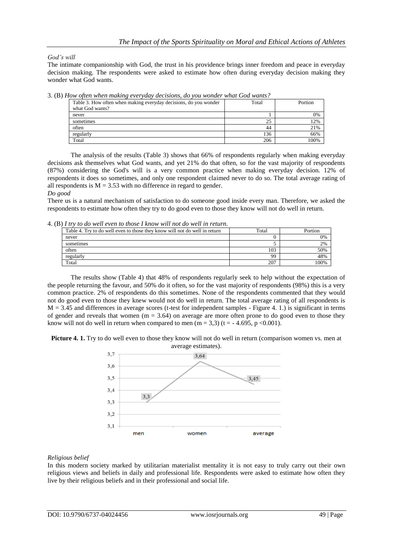### *God's will*

The intimate companionship with God, the trust in his providence brings inner freedom and peace in everyday decision making. The respondents were asked to estimate how often during everyday decision making they wonder what God wants.

| rrow open when making ever juay accisions, ao you wonder what God wants. |       |         |  |  |  |
|--------------------------------------------------------------------------|-------|---------|--|--|--|
| Table 3. How often when making everyday decisions, do you wonder         | Total | Portion |  |  |  |
| what God wants?                                                          |       |         |  |  |  |
| never                                                                    |       | 0%      |  |  |  |
| sometimes                                                                | 25    | 12%     |  |  |  |
| often                                                                    | 44    | 21%     |  |  |  |
| regularly                                                                | 136   | 66%     |  |  |  |
| Total                                                                    | 206   | $00\%$  |  |  |  |

3. (B) *How often when making everyday decisions, do you wonder what God wants?*

The analysis of the results (Table 3) shows that 66% of respondents regularly when making everyday decisions ask themselves what God wants, and yet 21% do that often, so for the vast majority of respondents (87%) considering the God's will is a very common practice when making everyday decision. 12% of respondents it does so sometimes, and only one respondent claimed never to do so. The total average rating of all respondents is  $M = 3.53$  with no difference in regard to gender.

#### *Do good*

There us is a natural mechanism of satisfaction to do someone good inside every man. Therefore, we asked the respondents to estimate how often they try to do good even to those they know will not do well in return.

4. (B) *I try to do well even to those I know will not do well in return.*

| Table 4. Try to do well even to those they know will not do well in return | Total | Portion |
|----------------------------------------------------------------------------|-------|---------|
| never                                                                      |       | 0%      |
| sometimes                                                                  |       | 2%      |
| often                                                                      | 103   | 50%     |
| regularly                                                                  | 99    | 48%     |
| Total                                                                      | 207   | 100%    |

The results show (Table 4) that 48% of respondents regularly seek to help without the expectation of the people returning the favour, and 50% do it often, so for the vast majority of respondents (98%) this is a very common practice. 2% of respondents do this sometimes. None of the respondents commented that they would not do good even to those they knew would not do well in return. The total average rating of all respondents is  $M = 3.45$  and differences in average scores (t-test for independent samples - Figure 4, 1.) is significant in terms of gender and reveals that women  $(m = 3.64)$  on average are more often prone to do good even to those they know will not do well in return when compared to men  $(m = 3.3)$  (t = -4.695, p <0.001).





### *Religious belief*

In this modern society marked by utilitarian materialist mentality it is not easy to truly carry out their own religious views and beliefs in daily and professional life. Respondents were asked to estimate how often they live by their religious beliefs and in their professional and social life.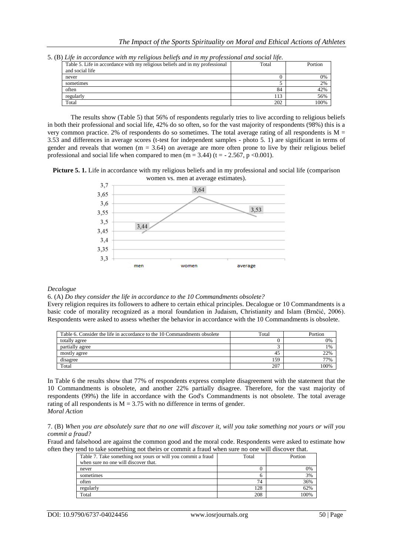|  |  | 5. (B) Life in accordance with my religious beliefs and in my professional and social life. |  |  |  |  |  |  |
|--|--|---------------------------------------------------------------------------------------------|--|--|--|--|--|--|
|  |  |                                                                                             |  |  |  |  |  |  |

| Table 5. Life in accordance with my religious beliefs and in my professional | Total | Portion |
|------------------------------------------------------------------------------|-------|---------|
| and social life                                                              |       |         |
| never                                                                        |       | 0%      |
| sometimes                                                                    |       | 2%      |
| often                                                                        | 84    | 42%     |
| regularly                                                                    | 113   | 56%     |
| Total                                                                        | 202   | 100%    |

The results show (Table 5) that 56% of respondents regularly tries to live according to religious beliefs in both their professional and social life, 42% do so often, so for the vast majority of respondents (98%) this is a very common practice. 2% of respondents do so sometimes. The total average rating of all respondents is  $M =$ 3.53 and differences in average scores (t-test for independent samples - photo 5. 1) are significant in terms of gender and reveals that women  $(m = 3.64)$  on average are more often prone to live by their religious belief professional and social life when compared to men  $(m = 3.44)$   $(t = -2.567, p < 0.001)$ .





#### *Decalogue*

6. (A) *Do they consider the life in accordance to the 10 Commandments obsolete?*

Every religion requires its followers to adhere to certain ethical principles. Decalogue or 10 Commandments is a basic code of morality recognized as a moral foundation in Judaism, Christianity and Islam (Brnĉić, 2006). Respondents were asked to assess whether the behavior in accordance with the 10 Commandments is obsolete.

| Table 6. Consider the life in accordance to the 10 Commandments obsolete | Total | Portion |
|--------------------------------------------------------------------------|-------|---------|
| totally agree                                                            |       | 0%      |
| partially agree                                                          |       | 1%      |
| mostly agree                                                             | 4.    | 22%     |
| disagree                                                                 | 159   | 77%     |
| Total                                                                    | 207   | 100%    |

In Table 6 the results show that 77% of respondents express complete disagreement with the statement that the 10 Commandments is obsolete, and another 22% partially disagree. Therefore, for the vast majority of respondents (99%) the life in accordance with the God's Commandments is not obsolete. The total average rating of all respondents is  $M = 3.75$  with no difference in terms of gender. *Moral Action*

7. (B) *When you are absolutely sure that no one will discover it, will you take something not yours or will you commit a fraud?*

Fraud and falsehood are against the common good and the moral code. Respondents were asked to estimate how often they tend to take something not theirs or commit a fraud when sure no one will discover that.

| Table 7. Take something not yours or will you commit a fraud | Total | Portion |
|--------------------------------------------------------------|-------|---------|
| when sure no one will discover that.                         |       |         |
| never                                                        |       | 0%      |
| sometimes                                                    |       | 3%      |
| often                                                        | 74    | 36%     |
| regularly                                                    | 128   | 62%     |
| Total                                                        | 208   | 00%     |

DOI: 10.9790/6737-04024456 www.iosrjournals.org 50 | Page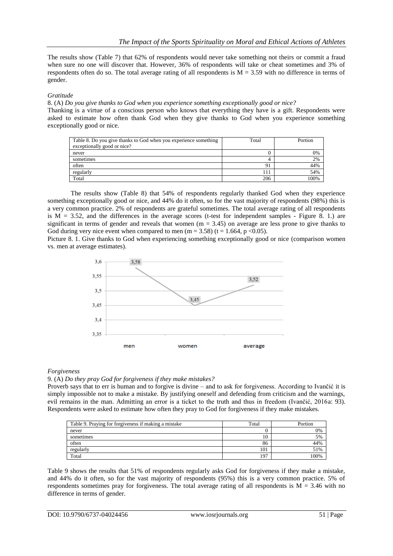The results show (Table 7) that 62% of respondents would never take something not theirs or commit a fraud when sure no one will discover that. However, 36% of respondents will take or cheat sometimes and 3% of respondents often do so. The total average rating of all respondents is  $M = 3.59$  with no difference in terms of gender.

### *Gratitude*

8. (A) *Do you give thanks to God when you experience something exceptionally good or nice?*

Thanking is a virtue of a conscious person who knows that everything they have is a gift. Respondents were asked to estimate how often thank God when they give thanks to God when you experience something exceptionally good or nice.

| Table 8. Do you give thanks to God when you experience something | Total | Portion |
|------------------------------------------------------------------|-------|---------|
| exceptionally good or nice?                                      |       |         |
| never                                                            |       | 0%      |
| sometimes                                                        |       | 2%      |
| often                                                            | 91    | 44%     |
| regularly                                                        | 111   | 54%     |
| Total                                                            | 206   | 100%    |

The results show (Table 8) that 54% of respondents regularly thanked God when they experience something exceptionally good or nice, and 44% do it often, so for the vast majority of respondents (98%) this is a very common practice. 2% of respondents are grateful sometimes. The total average rating of all respondents is  $M = 3.52$ , and the differences in the average scores (t-test for independent samples - Figure 8. 1.) are significant in terms of gender and reveals that women  $(m = 3.45)$  on average are less prone to give thanks to God during very nice event when compared to men (m = 3.58) (t = 1.664, p < 0.05).

Picture 8. 1. Give thanks to God when experiencing something exceptionally good or nice (comparison women vs. men at average estimates).



### *Forgiveness*

9. (A) *Do they pray God for forgiveness if they make mistakes?*

Proverb says that to err is human and to forgive is divine – and to ask for forgiveness. According to Ivanĉić it is simply impossible not to make a mistake. By justifying oneself and defending from criticism and the warnings, evil remains in the man. Admitting an error is a ticket to the truth and thus in freedom (Ivanĉić, 2016a: 93). Respondents were asked to estimate how often they pray to God for forgiveness if they make mistakes.

| Table 9. Praying for forgiveness if making a mistake | Total | Portion |
|------------------------------------------------------|-------|---------|
| never                                                |       | 0%      |
| sometimes                                            | 1 U   | 5%      |
| often                                                | 86    | 44%     |
| regularly                                            | 101   | 51%     |
| Total                                                | 197   | 00%     |

Table 9 shows the results that 51% of respondents regularly asks God for forgiveness if they make a mistake, and 44% do it often, so for the vast majority of respondents (95%) this is a very common practice. 5% of respondents sometimes pray for forgiveness. The total average rating of all respondents is  $M = 3.46$  with no difference in terms of gender.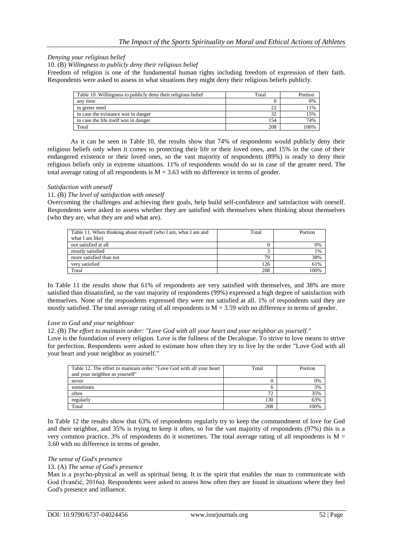### *Denying your religious belief*

10. (B) *Willingness to publicly deny their religious belief*

Freedom of religion is one of the fundamental human rights including freedom of expression of their faith. Respondents were asked to assess in what situations they might deny their religious beliefs publicly.

| Table 10. Willingness to publicly deny their religious belief | Total        | Portion |
|---------------------------------------------------------------|--------------|---------|
| any time                                                      |              | 0%      |
| in greter need                                                |              | 11%     |
| in case the existance was in danger                           | $2^{\prime}$ | 15%     |
| in case the life itself was in danger                         | 154          | 74%     |
| Total                                                         | 208          | 100%    |

As it can be seen in Table 10, the results show that 74% of respondents would publicly deny their religious beliefs only when it comes to protecting their life or their loved ones, and 15% in the case of their endangered existence or their loved ones, so the vast majority of respondents (89%) is ready to deny their religious beliefs only in extreme situations. 11% of respondents would do so in case of the greater need. The total average rating of all respondents is  $M = 3.63$  with no difference in terms of gender.

### *Satisfaction with oneself*

#### 11*.* (B) *The level of satisfaction with oneself*

Overcoming the challenges and achieving their goals, help build self-confidence and satisfaction with oneself. Respondents were asked to assess whether they are satisfied with themselves when thinking about themselves (who they are, what they are and what are).

| Table 11. When thinking about myself (who I am, what I am and | Total | Portion |
|---------------------------------------------------------------|-------|---------|
| what I am like)                                               |       |         |
| not satisfied at all                                          |       | 0%      |
| mostly satisfied                                              |       | 1%      |
| more satisfied than not                                       | 79    | 38%     |
| very satisfied                                                | 126   | 61%     |
| Total                                                         | 208   | 100%    |

In Table 11 the results show that 61% of respondents are very satisfied with themselves, and 38% are more satisfied than dissatisfied, so the vast majority of respondents (99%) expressed a high degree of satisfaction with themselves. None of the respondents expressed they were not satisfied at all. 1% of respondents said they are mostly satisfied. The total average rating of all respondents is  $M = 3.59$  with no difference in terms of gender.

### *Love to God and your neighbour*

12. (B) *The effort to maintain order: "Love God with all your heart and your neighbor as yourself."*

Love is the foundation of every religion. Love is the fullness of the Decalogue. To strive to love means to strive for perfection. Respondents were asked to estimate how often they try to live by the order "Love God with all your heart and your neighbor as yourself."

| Table 12. The effort to maintain order: "Love God with all your heart | Total       | Portion |
|-----------------------------------------------------------------------|-------------|---------|
| and your neighbor as yourself"                                        |             |         |
| never                                                                 |             | 0%      |
| sometimes                                                             |             | 3%      |
| often                                                                 | $7^{\circ}$ | 35%     |
| regularly                                                             | 130         | 63%     |
| Total                                                                 | 208         | 00%     |

In Table 12 the results show that 63% of respondents regularly try to keep the commandment of love for God and their neighbor, and 35% is trying to keep it often, so for the vast majority of respondents (97%) this is a very common practice. 3% of respondents do it sometimes. The total average rating of all respondents is  $M =$ 3.60 with no difference in terms of gender.

#### *The sense of God's presence*

#### 13. (A) *The sense of God's presence*

Man is a psycho-physical as well as spiritual being. It is the spirit that enables the man to communicate with God (Ivanĉić, 2016a). Respondents were asked to assess how often they are found in situations where they feel God's presence and influence.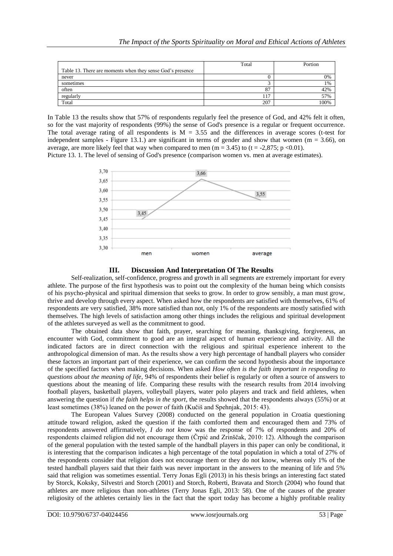|                                                            | Total    | Portion |
|------------------------------------------------------------|----------|---------|
| Table 13. There are moments when they sense God's presence |          |         |
| never                                                      |          | 0%      |
| sometimes                                                  |          | 1%      |
| often                                                      | -87      | 42%     |
| regularly                                                  | $11^{7}$ | 57%     |
| Total                                                      | 207      | 100%    |

In Table 13 the results show that 57% of respondents regularly feel the presence of God, and 42% felt it often, so for the vast majority of respondents (99%) the sense of God's presence is a regular or frequent occurrence. The total average rating of all respondents is  $M = 3.55$  and the differences in average scores (t-test for independent samples - Figure 13.1.) are significant in terms of gender and show that women ( $m = 3.66$ ), on average, are more likely feel that way when compared to men ( $m = 3.45$ ) to ( $t = -2.875$ ;  $p < 0.01$ ).

Picture 13. 1. The level of sensing of God's presence (comparison women vs. men at average estimates).





Self-realization, self-confidence, progress and growth in all segments are extremely important for every athlete. The purpose of the first hypothesis was to point out the complexity of the human being which consists of his psycho-physical and spiritual dimension that seeks to grow. In order to grow sensibly, a man must grow, thrive and develop through every aspect. When asked how the respondents are satisfied with themselves, 61% of respondents are very satisfied, 38% more satisfied than not, only 1% of the respondents are mostly satisfied with themselves. The high levels of satisfaction among other things includes the religious and spiritual development of the athletes surveyed as well as the commitment to good.

The obtained data show that faith, prayer, searching for meaning, thanksgiving, forgiveness, an encounter with God, commitment to good are an integral aspect of human experience and activity. All the indicated factors are in direct connection with the religious and spiritual experience inherent to the anthropological dimension of man. As the results show a very high percentage of handball players who consider these factors an important part of their experience, we can confirm the second hypothesis about the importance of the specified factors when making decisions. When asked *How often is the faith important in responding to questions about the meaning of life*, 94% of respondents their belief is regularly or often a source of answers to questions about the meaning of life. Comparing these results with the research results from 2014 involving football players, basketball players, volleyball players, water polo players and track and field athletes, when answering the question if *the faith helps in the sport*, the results showed that the respondents always (55%) or at least sometimes (38%) leaned on the power of faith (Kuĉiš and Spehnjak, 2015: 43).

The European Values Survey (2008) conducted on the general population in Croatia questioning attitude toward religion, asked the question if the faith comforted them and encouraged them and 73% of respondents answered affirmatively, *I do not know* was the response of 7% of respondents and 20% of respondents claimed religion did not encourage them (Ĉrpić and Zrinšĉak, 2010: 12). Although the comparison of the general population with the tested sample of the handball players in this paper can only be conditional, it is interesting that the comparison indicates a high percentage of the total population in which a total of 27% of the respondents consider that religion does not encourage them or they do not know, whereas only 1% of the tested handball players said that their faith was never important in the answers to the meaning of life and 5% said that religion was sometimes essential. Terry Jonas Egli (2013) in his thesis brings an interesting fact stated by Storck, Koksky, Silvestri and Storch (2001) and Storch, Roberti, Bravata and Storch (2004) who found that athletes are more religious than non-athletes (Terry Jonas Egli, 2013: 58). One of the causes of the greater religiosity of the athletes certainly lies in the fact that the sport today has become a highly profitable reality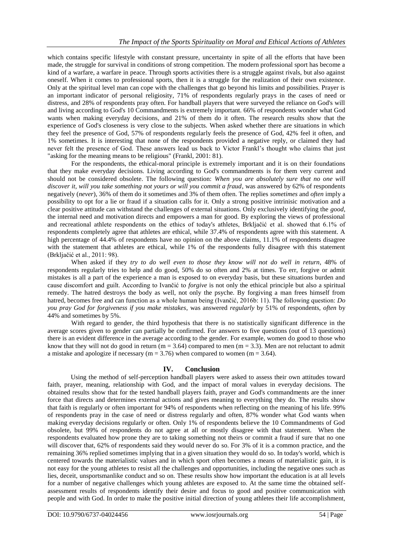which contains specific lifestyle with constant pressure, uncertainty in spite of all the efforts that have been made, the struggle for survival in conditions of strong competition. The modern professional sport has become a kind of a warfare, a warfare in peace. Through sports activities there is a struggle against rivals, but also against oneself. When it comes to professional sports, then it is a struggle for the realization of their own existence. Only at the spiritual level man can cope with the challenges that go beyond his limits and possibilities. Prayer is an important indicator of personal religiosity, 71% of respondents regularly prays in the cases of need or distress, and 28% of respondents pray often. For handball players that were surveyed the reliance on God's will and living according to God's 10 Commandments is extremely important. 66% of respondents wonder what God wants when making everyday decisions, and 21% of them do it often. The research results show that the experience of God's closeness is very close to the subjects. When asked whether there are situations in which they feel the presence of God, 57% of respondents regularly feels the presence of God, 42% feel it often, and 1% sometimes. It is interesting that none of the respondents provided a negative reply, or claimed they had never felt the presence of God. These answers lead us back to Victor Frankl's thought who claims that just "asking for the meaning means to be religious" (Frankl, 2001: 81).

For the respondents, the ethical-moral principle is extremely important and it is on their foundations that they make everyday decisions. Living according to God's commandments is for them very current and should not be considered obsolete. The following question: *When you are absolutely sure that no one will discover it, will you take something not yours or will you commit a fraud*, was answered by 62% of respondents negatively (*never*), 36% of them do it sometimes and 3% of them often. The replies *sometimes* and *often* imply a possibility to opt for a lie or fraud if a situation calls for it. Only a strong positive intrinisic motivation and a clear positive attitude can withstand the challenges of external situations. Only exclusively identifying the *good*, the internal need and motivation directs and empowers a man for good. By exploring the views of professional and recreational athlete respondents on the ethics of today's athletes, Brkljaĉić et al. showed that 6.1% of respondents completely agree that athletes are ethical, while 37.4% of respondents agree with this statement. A high percentage of 44.4% of respondents have no opinion on the above claims, 11.1% of respondents disagree with the statement that athletes are ethical, while 1% of the respondents fully disagree with this statement (Brkljaĉić et al., 2011: 98).

When asked if they *try to do well even to those they know will not do well in return*, 48% of respondents regularly tries to help and do good, 50% do so often and 2% at times. To err, forgive or admit mistakes is all a part of the experience a man is exposed to on everyday basis, but these situations burden and cause discomfort and guilt. According to Ivanĉić to *forgive* is not only the ethical principle but also a spiritual remedy. The hatred destroys the body as well, not only the psyche. By forgiving a man frees himself from hatred, becomes free and can function as a whole human being (Ivanĉić, 2016b: 11). The following question: *Do you pray God for forgiveness if you make mistakes*, was answered *regularly* by 51% of respondents, *often* by 44% and sometimes by 5%.

With regard to gender, the third hypothesis that there is no statistically significant difference in the average scores given to gender can partially be confirmed. For answers to five questions (out of 13 questions) there is an evident difference in the average according to the gender. For example, women do good to those who know that they will not do good in return ( $m = 3.64$ ) compared to men ( $m = 3.3$ ). Men are not reluctant to admit a mistake and apologize if necessary ( $m = 3.76$ ) when compared to women ( $m = 3.64$ ).

### **IV. Conclusion**

Using the method of self-perception handball players were asked to assess their own attitudes toward faith, prayer, meaning, relationship with God, and the impact of moral values in everyday decisions. The obtained results show that for the tested handball players faith, prayer and God's commandments are the inner force that directs and determines external actions and gives meaning to everything they do. The results show that faith is regularly or often important for 94% of respondents when reflecting on the meaning of his life. 99% of respondents pray in the case of need or distress regularly and often, 87% wonder what God wants when making everyday decisions regularly or often. Only 1% of respondents believe the 10 Commandments of God obsolete, but 99% of respondents do not agree at all or mostly disagree with that statement. When the respondents evaluated how prone they are to taking something not theirs or commit a fraud if sure that no one will discover that, 62% of respondents said they would never do so. For 3% of it is a common practice, and the remaining 36% replied sometimes implying that in a given situation they would do so. In today's world, which is centered towards the materialistic values and in which sport often becomes a means of materialistic gain, it is not easy for the young athletes to resist all the challenges and opportunities, including the negative ones such as lies, deceit, unsportsmanlike conduct and so on. These results show how important the education is at all levels for a number of negative challenges which young athletes are exposed to. At the same time the obtained selfassessment results of respondents identify their desire and focus to good and positive communication with people and with God. In order to make the positive initial direction of young athletes their life accomplishment,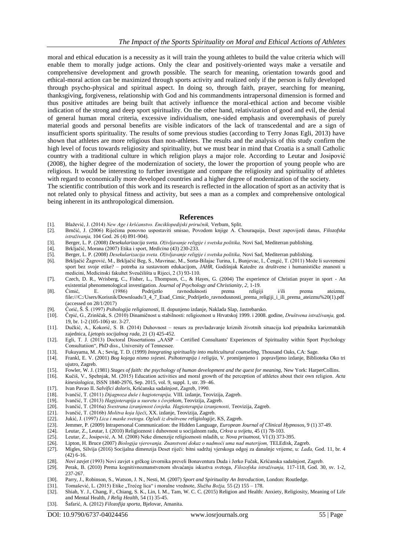moral and ethical education is a necessity as it will train the young athletes to build the value criteria which will enable them to morally judge actions. Only the clear and positively-oriented ways make a versatile and comprehensive development and growth possible. The search for meaning, orientation towards good and ethical-moral action can be maximized through sports activity and realized only if the person is fully developed through psycho-physical and spiritual aspect. In doing so, through faith, prayer, searching for meaning, thanksgiving, forgiveness, relationship with God and his commandments intrapersonal dimension is formed and thus positive attitudes are being built that actively influence the moral-ethical action and become visible indication of the strong and deep sport spirituality. On the other hand, relativization of good and evil, the denial of general human moral criteria, excessive individualism, one-sided emphasis and overemphasis of purely material goods and personal benefits are visible indicators of the lack of transcedental and are a sign of insufficient sports spirituality. The results of some previous studies (according to Terry Jonas Egli, 2013) have shown that athletes are more religious than non-athletes. The results and the analysis of this study confirm the high level of focus towards religiosity and spirituality, but we must bear in mind that Croatia is a small Catholic country with a traditional culture in which religion plays a major role. According to Leutar and Josipović (2008), the higher degree of the modernization of society, the lower the proportion of young people who are religious. It would be interesting to further investigate and compare the religiosity and spirituality of athletes with regard to economically more developed countries and a higher degree of modernization of the society.

The scientific contribution of this work and its research is reflected in the allocation of sport as an activity that is not related only to physical fitness and activity, but sees a man as a complex and comprehensive ontological being inherent in its anthropological dimension.

#### **References**

- [1]. Blaţević, J. (2014) *New Age i kršćanstvo. Enciklopedijski priručnik,* Verbum, Split.
- [2]. Brnĉić, J. (2006) Rijeĉima ponovno uspostaviti smisao, Povodom knjige A. Chouraquija, Deset zapovijedi danas, *Filozofska istraživanja,* 104 God. 26 (4) 891-904).
- [3]. Berger, L. P. (2008) *Desekularizacija sveta. Oživljavanje religije i svetska politika,* Novi Sad, Mediterran publishing.
- [4]. Brkljaĉić, Morana (2007) Etika i sport, *Medicina* (43) 230-233.
- [5]. Berger, L. P. (2008) *Desekularizacija sveta. Oživljavanje religije i svetska politika,* Novi Sad, Mediterran publishing.
- [6]. Brkljačić Žagrović, M., Brkljačić Beg, S., Mavrinac, M., Sorta-Bilajac Turina, I., Bunjevac, I., Čengić, T. (2011) Može li suvremeni sport bez svoje etike? – potreba za sustavnom edukacijom, *JAHR,* Godišnjak Katedre za društvene i humanistiĉke znanosti u medicini, Medicinski fakultet Sveuĉilišta u Rijeci, 2 (3) 93-110.
- [7]. Czech, D. R., Wrisberg, C., Fisher, L., Thompson, C., & Hayes, G. (2004) The experience of Christian prayer in sport An existential phenomenological investigation. *Journal of Psychology and Christianity, 2,* 1-19.
- [8]. Ćimić, E. (1986) Podrijetlo ravnodušnosti prema religiji i/ili prema ateizmu, [file:///C:/Users/Korisnik/Downloads/3\\_4\\_7\\_Esad\\_Cimic\\_Podrijetlo\\_ravnodusnosti\\_prema\\_religiji\\_i\\_ili\\_prema\\_ateizmu%20\(1\).pdf](file:///C:\Users\Korisnik\Downloads\3_4_7_Esad_Cimic_Podrijetlo_ravnodusnosti_prema_religiji_i_ili_prema_ateizmu%20(1).pdf) (accessed on 28/1/2017)
- [9]. Ćorić, Š. Š. (1997) *Psihologija religioznosti,* II. dopunjeno izdanje, Naklada Slap, Jastrebarsko.
- [10]. Ĉrpić, G., Zrinšĉak, S. (2010) Dinamiĉnost u stabilnosti: religioznost u Hrvatskoj 1999. i 2008. godine, *Društvena istraživanja,* god. 19, br. 1-2 (105-106) str. 3-27.
- [11]. Duĉkić, A., Kokorić, S. B. (2014) Duhovnost resurs za prevladavanje kriznih ţivotnih situacija kod pripadnika karizmatskih zajednica, *Ljetopis socijalnog rada,* 21 (3) 425-452.
- [12]. Egli, T. J. (2013) Doctoral Dissertations "AASP Certified Consultants' Experiences of Spirituality within Sport Psychology Consultatiion", PhD diss., University of Tennessee.
- 
- [13]. Fukuyama, M. A.; Sevig, T. D. (1999) *Integrating spirituality into multicultural counseling*, Thousand Oaks, CA: Sage. [14]. Frankl, E. V. (2001) *Bog kojega nismo svjesni. Psihoterapija i religija,* V. promijenjeno i popravljeno izdanje, Biblioteka Oko tri ujutro, Zagreb.
- [15]. Fowler, W. J. (1981) *Stages of faith: the psychology of human development and the quest for meaning*, New York: HarperCollins. [16]. Kučiš, V., Spehnjak, M. (2015) Education activities and moral growth of the percep
- [16]. Kuĉiš, V., Spehnjak, M. (2015) Education activities and moral growth of the perception of athletes about their own religion. *Acta kinesiologica*, ISSN 1840-2976, Sep. 2015, vol. 9, suppl. 1, str. 39–46.
- [17]. Ivan Pavao II. *Salvifici doloris*, Kršćanska sadašnjost, Zagreb, 1990.
- [18]. Ivanĉić, T. (2011) *Dijagnoza duše i hagioterapija,* VIII. izdanje, Teovizija, Zagreb.
- [19]. Ivanĉić, T. (2013) *Hagijoterapija u susretu s čovjekom,* Teovizija, Zagreb.
- [20]. Ivanĉić, T. (2016a) *Svestrana izranjenost čovjeka. Hagioterapija izranjenosti,* Teovizija, Zagreb.
- [21]. Ivanĉić, T. (2016b) *Molitva koja liječi*, XX. izdanje, Teovizija, Zagreb.
- 
- [22]. Jukić, J. (1997) *Lica i maske svetoga. Ogledi iz društvene religiologije*, KS, Zagreb.<br>[23]. Jemmer, P. (2009) Intrapersonal Communication: the Hidden Language, *European*, [23]. Jemmer, P. (2009) Intrapersonal Communication: the Hidden Language, *European Journal of Clinical Hypnosos*, 9 (1) 37-49.
- [24]. Leutar, Z., Leutar, I. (2010) Religioznost i duhovnost u socijalnom radu, *Crkva u svijetu,* 45 (1) 78-103.
- [25]. Leutar, Z., Josipović, A. M. (2008) Neke dimenzije religioznosti mladih, u: *Nova prisutnost,* VI (3) 373-395.
- [26]. Lipton, H. Bruce (2007) *Biologija vjerovanja. Znanstveni dokaz o nadmoći uma nad materijom,* TELEdisk, Zagreb.
- [27]. Migles, Silvija (2016) Socijalna dimenzija Deset riječi: bitni sadržaj vjerskoga odgoj za današnje vrijeme, u: Lađa, God. 11, br. 4 (42) 6-16.
- [28]. *Novi zavjet* (1993) Novi zavjet s grĉkog izvornika preveli Bonaventura Duda i Jerko Fuĉak, Kršćanska sadašnjost, Zagreb.
- [29]. Perak, B. (2010) Prema kognitivnoznanstvenom shvaćanju iskustva svetoga, *Filozofska istraživanja,* 117-118, God. 30, sv. 1-2, 237-267.
- [30]. Parry, J., Robinson, S., Watson, J. N., Nesti, M. (2007) *Sport and Spirituality An Introduction,* London: Routledge.
- [31]. Tomašević, L. (2015) Etike "Trećeg lica" i moralne vrednote, *Služba Božja*, 55 (2) 155 178.
- [32]. Shiah, Y. J., Chang, F., Chiang, S. K., Lin, I. M., Tam, W. C. C. (2015) Religion and Health: Anxiety, Religiosity, Meaning of Life and Mental Health, *J Relig Health,* 54 (1) 35-45.
- [33]. Šafarić, A. (2012) *Filozofija sporta,* Bjelovar, Amanita.

DOI: 10.9790/6737-04024456 www.iosrjournals.org 55 | Page